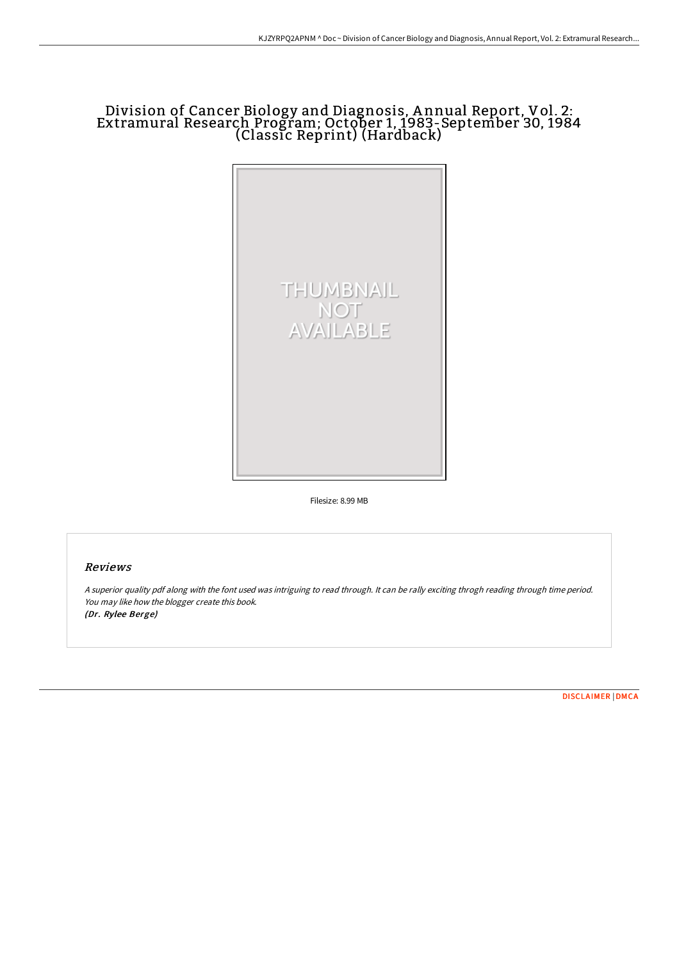## Division of Cancer Biology and Diagnosis, A nnual Report, Vol. 2: Extramural Research Program; October 1, 1983-September 30, 1984 (Classic Reprint) (Hardback)



Filesize: 8.99 MB

## Reviews

<sup>A</sup> superior quality pdf along with the font used was intriguing to read through. It can be rally exciting throgh reading through time period. You may like how the blogger create this book. (Dr. Rylee Berge)

[DISCLAIMER](http://bookera.tech/disclaimer.html) | [DMCA](http://bookera.tech/dmca.html)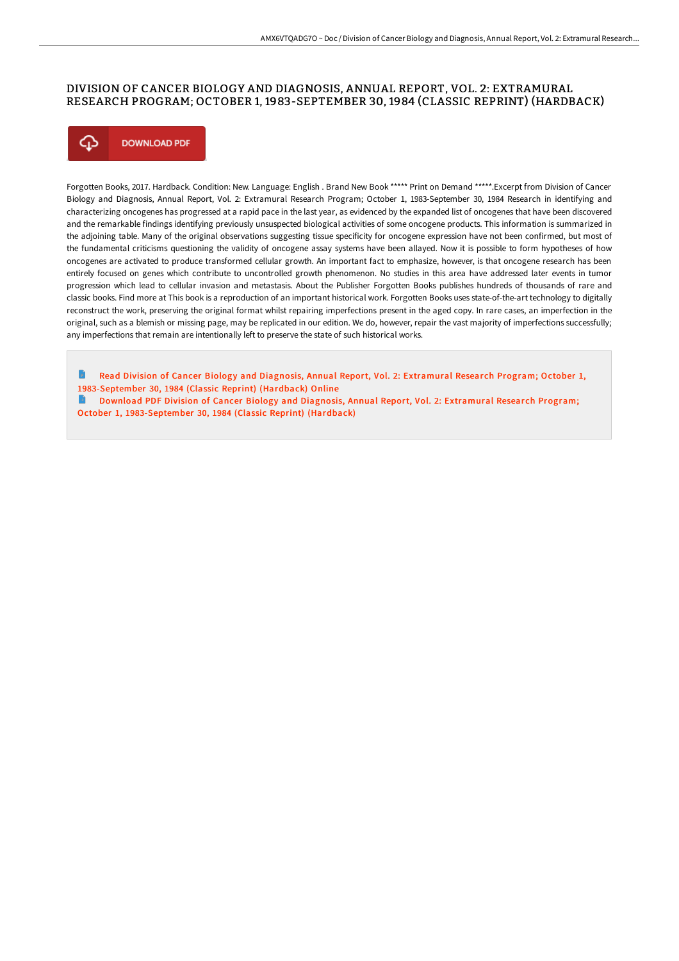## DIVISION OF CANCER BIOLOGY AND DIAGNOSIS, ANNUAL REPORT, VOL. 2: EXTRAMURAL RESEARCH PROGRAM; OCTOBER 1, 1983-SEPTEMBER 30, 1984 (CLASSIC REPRINT) (HARDBACK)



Forgotten Books, 2017. Hardback. Condition: New. Language: English . Brand New Book \*\*\*\*\* Print on Demand \*\*\*\*\*.Excerpt from Division of Cancer Biology and Diagnosis, Annual Report, Vol. 2: Extramural Research Program; October 1, 1983-September 30, 1984 Research in identifying and characterizing oncogenes has progressed at a rapid pace in the last year, as evidenced by the expanded list of oncogenes that have been discovered and the remarkable findings identifying previously unsuspected biological activities of some oncogene products. This information is summarized in the adjoining table. Many of the original observations suggesting tissue specificity for oncogene expression have not been confirmed, but most of the fundamental criticisms questioning the validity of oncogene assay systems have been allayed. Now it is possible to form hypotheses of how oncogenes are activated to produce transformed cellular growth. An important fact to emphasize, however, is that oncogene research has been entirely focused on genes which contribute to uncontrolled growth phenomenon. No studies in this area have addressed later events in tumor progression which lead to cellular invasion and metastasis. About the Publisher Forgotten Books publishes hundreds of thousands of rare and classic books. Find more at This book is a reproduction of an important historical work. Forgotten Books uses state-of-the-art technology to digitally reconstruct the work, preserving the original format whilst repairing imperfections present in the aged copy. In rare cases, an imperfection in the original, such as a blemish or missing page, may be replicated in our edition. We do, however, repair the vast majority of imperfections successfully; any imperfections that remain are intentionally left to preserve the state of such historical works.

Read Division of Cancer Biology and Diagnosis, Annual Report, Vol. 2: Extramural Research Program; October 1, [1983-September](http://bookera.tech/division-of-cancer-biology-and-diagnosis-annual--3.html) 30, 1984 (Classic Reprint) (Hardback) Online Download PDF Division of Cancer Biology and Diagnosis, Annual Report, Vol. 2: Extramural Research Program;

October 1, [1983-September](http://bookera.tech/division-of-cancer-biology-and-diagnosis-annual--3.html) 30, 1984 (Classic Reprint) (Hardback)